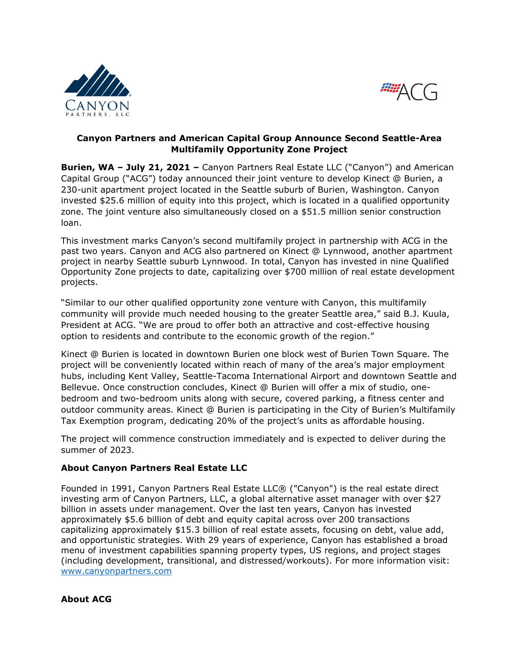



## **Canyon Partners and American Capital Group Announce Second Seattle-Area Multifamily Opportunity Zone Project**

**Burien, WA – July 21, 2021 –** Canyon Partners Real Estate LLC ("Canyon") and American Capital Group ("ACG") today announced their joint venture to develop Kinect @ Burien, a 230-unit apartment project located in the Seattle suburb of Burien, Washington. Canyon invested \$25.6 million of equity into this project, which is located in a qualified opportunity zone. The joint venture also simultaneously closed on a \$51.5 million senior construction loan.

This investment marks Canyon's second multifamily project in partnership with ACG in the past two years. Canyon and ACG also partnered on Kinect @ Lynnwood, another apartment project in nearby Seattle suburb Lynnwood. In total, Canyon has invested in nine Qualified Opportunity Zone projects to date, capitalizing over \$700 million of real estate development projects.

"Similar to our other qualified opportunity zone venture with Canyon, this multifamily community will provide much needed housing to the greater Seattle area," said B.J. Kuula, President at ACG. "We are proud to offer both an attractive and cost-effective housing option to residents and contribute to the economic growth of the region."

Kinect @ Burien is located in downtown Burien one block west of Burien Town Square. The project will be conveniently located within reach of many of the area's major employment hubs, including Kent Valley, Seattle-Tacoma International Airport and downtown Seattle and Bellevue. Once construction concludes, Kinect @ Burien will offer a mix of studio, onebedroom and two-bedroom units along with secure, covered parking, a fitness center and outdoor community areas. Kinect @ Burien is participating in the City of Burien's Multifamily Tax Exemption program, dedicating 20% of the project's units as affordable housing.

The project will commence construction immediately and is expected to deliver during the summer of 2023.

## **About Canyon Partners Real Estate LLC**

Founded in 1991, Canyon Partners Real Estate LLC® ("Canyon") is the real estate direct investing arm of Canyon Partners, LLC, a global alternative asset manager with over \$27 billion in assets under management. Over the last ten years, Canyon has invested approximately \$5.6 billion of debt and equity capital across over 200 transactions capitalizing approximately \$15.3 billion of real estate assets, focusing on debt, value add, and opportunistic strategies. With 29 years of experience, Canyon has established a broad menu of investment capabilities spanning property types, US regions, and project stages (including development, transitional, and distressed/workouts). For more information visit: [www.canyonpartners.com](http://www.canyonpartners.com/)

## **About ACG**